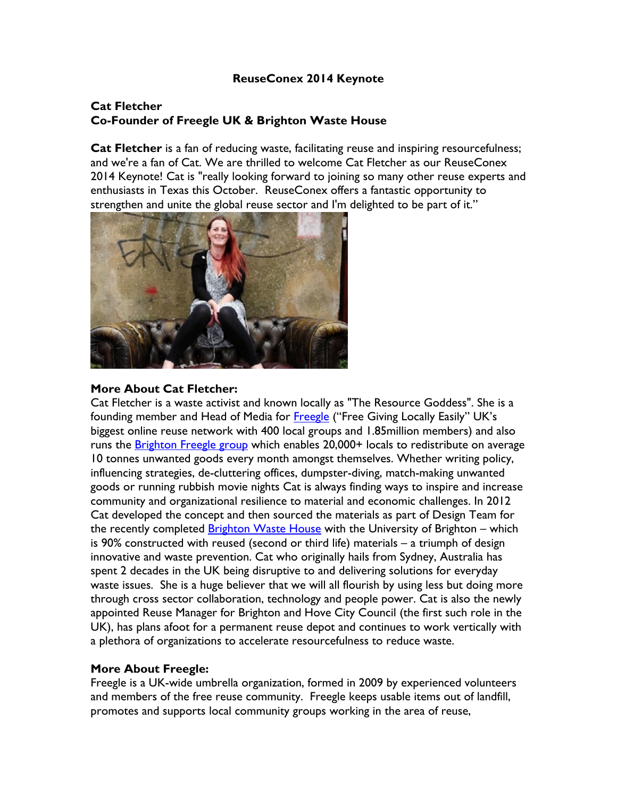### **ReuseConex 2014 Keynote**

# **Cat Fletcher Co-Founder of Freegle UK & Brighton Waste House**

**Cat Fletcher** is a fan of reducing waste, facilitating reuse and inspiring resourcefulness; and we're a fan of Cat. We are thrilled to welcome Cat Fletcher as our ReuseConex 2014 Keynote! Cat is "really looking forward to joining so many other reuse experts and enthusiasts in Texas this October. ReuseConex offers a fantastic opportunity to strengthen and unite the global reuse sector and I'm delighted to be part of it."



### **More About Cat Fletcher:**

Cat Fletcher is a waste activist and known locally as "The Resource Goddess". She is a founding member and Head of Media for Freegle ("Free Giving Locally Easily" UK's biggest online reuse network with 400 local groups and 1.85million members) and also runs the Brighton Freegle group which enables 20,000+ locals to redistribute on average 10 tonnes unwanted goods every month amongst themselves. Whether writing policy, influencing strategies, de-cluttering offices, dumpster-diving, match-making unwanted goods or running rubbish movie nights Cat is always finding ways to inspire and increase community and organizational resilience to material and economic challenges. In 2012 Cat developed the concept and then sourced the materials as part of Design Team for the recently completed **Brighton Waste House** with the University of Brighton – which is 90% constructed with reused (second or third life) materials – a triumph of design innovative and waste prevention. Cat who originally hails from Sydney, Australia has spent 2 decades in the UK being disruptive to and delivering solutions for everyday waste issues. She is a huge believer that we will all flourish by using less but doing more through cross sector collaboration, technology and people power. Cat is also the newly appointed Reuse Manager for Brighton and Hove City Council (the first such role in the UK), has plans afoot for a permanent reuse depot and continues to work vertically with a plethora of organizations to accelerate resourcefulness to reduce waste.

## **More About Freegle:**

Freegle is a UK-wide umbrella organization, formed in 2009 by experienced volunteers and members of the free reuse community. Freegle keeps usable items out of landfill, promotes and supports local community groups working in the area of reuse,